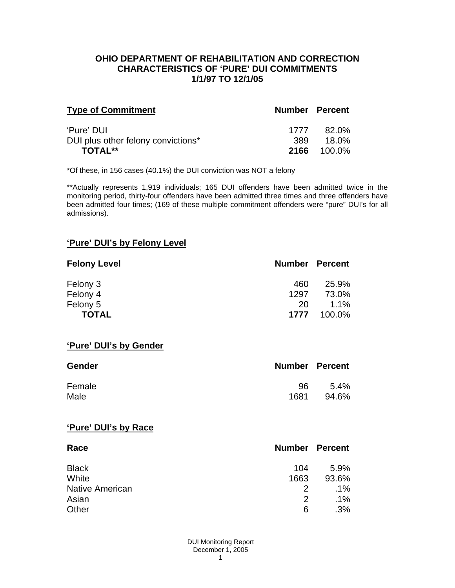### **OHIO DEPARTMENT OF REHABILITATION AND CORRECTION CHARACTERISTICS OF 'PURE' DUI COMMITMENTS 1/1/97 TO 12/1/05**

| <b>Type of Commitment</b>          | <b>Number Percent</b> |        |
|------------------------------------|-----------------------|--------|
| 'Pure' DUI                         | 1777                  | 82.0%  |
| DUI plus other felony convictions* | 389.                  | 18.0%  |
| <b>TOTAL**</b>                     | 2166                  | 100.0% |

\*Of these, in 156 cases (40.1%) the DUI conviction was NOT a felony

\*\*Actually represents 1,919 individuals; 165 DUI offenders have been admitted twice in the monitoring period, thirty-four offenders have been admitted three times and three offenders have been admitted four times; (169 of these multiple commitment offenders were "pure" DUI's for all admissions).

# **'Pure' DUI's by Felony Level**

| <b>Felony Level</b> | <b>Number Percent</b> |         |
|---------------------|-----------------------|---------|
| Felony 3            | 460                   | 25.9%   |
| Felony 4            | 1297                  | 73.0%   |
| Felony 5            | 20                    | $1.1\%$ |
| <b>TOTAL</b>        | 1777                  | 100.0%  |

#### **'Pure' DUI's by Gender**

| <b>Gender</b> | <b>Number Percent</b> |         |
|---------------|-----------------------|---------|
| Female        | 96                    | $5.4\%$ |
| Male          | 1681                  | 94.6%   |

#### **'Pure' DUI's by Race**

| Race                   | <b>Number Percent</b> |        |
|------------------------|-----------------------|--------|
| <b>Black</b>           | 104                   | 5.9%   |
| White                  | 1663                  | 93.6%  |
| <b>Native American</b> | $\mathcal{P}$         | $.1\%$ |
| Asian                  | $\mathcal{P}$         | $.1\%$ |
| Other                  | 6                     | .3%    |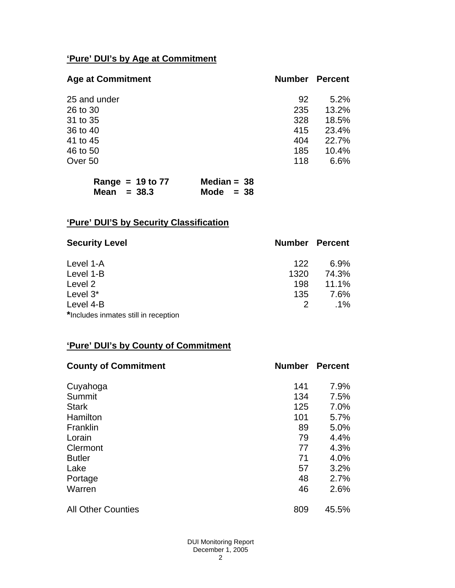# **'Pure' DUI's by Age at Commitment**

| <b>Age at Commitment</b> | <b>Number</b> | <b>Percent</b> |
|--------------------------|---------------|----------------|
| 25 and under             | 92            | 5.2%           |
| 26 to 30                 | 235           | 13.2%          |
| 31 to 35                 | 328           | 18.5%          |
| 36 to 40                 | 415           | 23.4%          |
| 41 to 45                 | 404           | 22.7%          |
| 46 to 50                 | 185           | 10.4%          |
| Over 50                  | 118           | 6.6%           |

| Range = $19$ to $77$ | Median = $38$ |
|----------------------|---------------|
| Mean $= 38.3$        | Mode $= 38$   |

# **'Pure' DUI'S by Security Classification**

| <b>Security Level</b>                | <b>Number Percent</b> |        |
|--------------------------------------|-----------------------|--------|
| Level 1-A                            | 122                   | 6.9%   |
| Level 1-B                            | 1320                  | 74.3%  |
| Level 2                              | 198                   | 11.1%  |
| Level 3*                             | 135                   | 7.6%   |
| Level 4-B                            | 2                     | $.1\%$ |
| *Includes inmates still in reception |                       |        |

# **'Pure' DUI's by County of Commitment**

| <b>County of Commitment</b> | <b>Number</b> | <b>Percent</b> |
|-----------------------------|---------------|----------------|
| Cuyahoga                    | 141           | 7.9%           |
| Summit                      | 134           | 7.5%           |
| <b>Stark</b>                | 125           | 7.0%           |
| Hamilton                    | 101           | 5.7%           |
| Franklin                    | 89            | 5.0%           |
| Lorain                      | 79            | 4.4%           |
| Clermont                    | 77            | 4.3%           |
| <b>Butler</b>               | 71            | 4.0%           |
| Lake                        | 57            | 3.2%           |
| Portage                     | 48            | 2.7%           |
| Warren                      | 46            | 2.6%           |
| <b>All Other Counties</b>   | 809           | 45.5%          |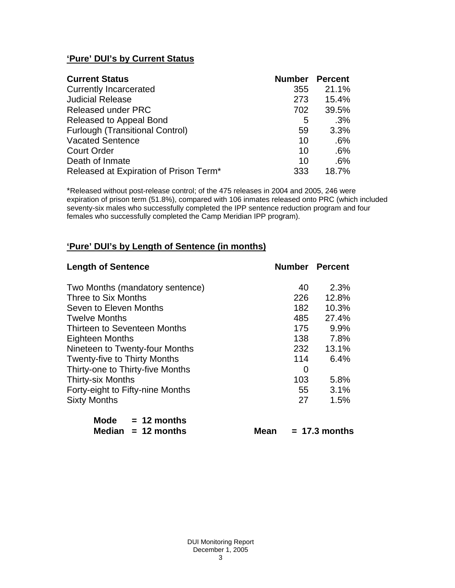# **'Pure' DUI's by Current Status**

| <b>Current Status</b>                  | <b>Number Percent</b> |       |
|----------------------------------------|-----------------------|-------|
| <b>Currently Incarcerated</b>          | 355                   | 21.1% |
| <b>Judicial Release</b>                | 273                   | 15.4% |
| <b>Released under PRC</b>              | 702                   | 39.5% |
| Released to Appeal Bond                | 5                     | .3%   |
| <b>Furlough (Transitional Control)</b> | 59                    | 3.3%  |
| <b>Vacated Sentence</b>                | 10                    | .6%   |
| <b>Court Order</b>                     | 10                    | .6%   |
| Death of Inmate                        | 10                    | .6%   |
| Released at Expiration of Prison Term* | 333                   | 18.7% |

\*Released without post-release control; of the 475 releases in 2004 and 2005, 246 were expiration of prison term (51.8%), compared with 106 inmates released onto PRC (which included seventy-six males who successfully completed the IPP sentence reduction program and four females who successfully completed the Camp Meridian IPP program).

# **'Pure' DUI's by Length of Sentence (in months)**

| <b>Length of Sentence</b>           | <b>Number Percent</b> |       |
|-------------------------------------|-----------------------|-------|
| Two Months (mandatory sentence)     | 40                    | 2.3%  |
| Three to Six Months                 | 226                   | 12.8% |
| Seven to Eleven Months              | 182                   | 10.3% |
| <b>Twelve Months</b>                | 485                   | 27.4% |
| Thirteen to Seventeen Months        | 175                   | 9.9%  |
| <b>Eighteen Months</b>              | 138                   | 7.8%  |
| Nineteen to Twenty-four Months      | 232                   | 13.1% |
| <b>Twenty-five to Thirty Months</b> | 114                   | 6.4%  |
| Thirty-one to Thirty-five Months    | 0                     |       |
| <b>Thirty-six Months</b>            | 103                   | 5.8%  |
| Forty-eight to Fifty-nine Months    | 55                    | 3.1%  |
| <b>Sixty Months</b>                 | 27                    | 1.5%  |

| Mode | $= 12$ months        |
|------|----------------------|
|      | Median $= 12$ months |

 $Mean = 17.3 months$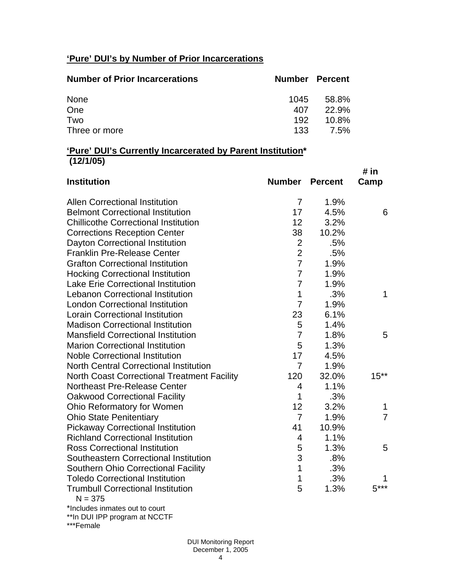# **'Pure' DUI's by Number of Prior Incarcerations**

| <b>Number of Prior Incarcerations</b> | Number Percent |              |
|---------------------------------------|----------------|--------------|
| None                                  | 1045           | 58.8%        |
| One                                   | 407            | <b>22.9%</b> |
| Two                                   | 192            | $10.8\%$     |
| Three or more                         | 133            | 7.5%         |

### **'Pure' DUI's Currently Incarcerated by Parent Institution\* (12/1/05)**

| <b>Institution</b>                                    | <b>Number Percent</b> |       | # in<br>Camp   |
|-------------------------------------------------------|-----------------------|-------|----------------|
| <b>Allen Correctional Institution</b>                 | 7                     | 1.9%  |                |
| <b>Belmont Correctional Institution</b>               | 17                    | 4.5%  | 6              |
| <b>Chillicothe Correctional Institution</b>           | 12                    | 3.2%  |                |
| <b>Corrections Reception Center</b>                   | 38                    | 10.2% |                |
| Dayton Correctional Institution                       | $\mathbf{2}$          | .5%   |                |
| <b>Franklin Pre-Release Center</b>                    | $\overline{2}$        | .5%   |                |
| <b>Grafton Correctional Institution</b>               | $\overline{7}$        | 1.9%  |                |
| <b>Hocking Correctional Institution</b>               | $\overline{7}$        | 1.9%  |                |
| <b>Lake Erie Correctional Institution</b>             | $\overline{7}$        | 1.9%  |                |
| <b>Lebanon Correctional Institution</b>               | 1                     | .3%   | 1              |
| <b>London Correctional Institution</b>                | $\overline{7}$        | 1.9%  |                |
| <b>Lorain Correctional Institution</b>                | 23                    | 6.1%  |                |
| <b>Madison Correctional Institution</b>               | 5                     | 1.4%  |                |
| <b>Mansfield Correctional Institution</b>             | $\overline{7}$        | 1.8%  | 5              |
| <b>Marion Correctional Institution</b>                | 5                     | 1.3%  |                |
| <b>Noble Correctional Institution</b>                 | 17                    | 4.5%  |                |
| <b>North Central Correctional Institution</b>         | $\overline{7}$        | 1.9%  |                |
| <b>North Coast Correctional Treatment Facility</b>    | 120                   | 32.0% | $15***$        |
| Northeast Pre-Release Center                          | 4                     | 1.1%  |                |
| <b>Oakwood Correctional Facility</b>                  | 1                     | .3%   |                |
| Ohio Reformatory for Women                            | 12                    | 3.2%  | 1              |
| <b>Ohio State Penitentiary</b>                        | $\overline{7}$        | 1.9%  | $\overline{7}$ |
| <b>Pickaway Correctional Institution</b>              | 41                    | 10.9% |                |
| <b>Richland Correctional Institution</b>              | 4                     | 1.1%  |                |
| <b>Ross Correctional Institution</b>                  | 5                     | 1.3%  | 5              |
| Southeastern Correctional Institution                 | 3                     | .8%   |                |
| <b>Southern Ohio Correctional Facility</b>            | $\mathbf 1$           | .3%   |                |
| <b>Toledo Correctional Institution</b>                | 1                     | .3%   |                |
| <b>Trumbull Correctional Institution</b><br>$N = 375$ | 5                     | 1.3%  | $5***$         |
| *Includes inmates out to court                        |                       |       |                |

\*\*In DUI IPP program at NCCTF

\*\*\*Female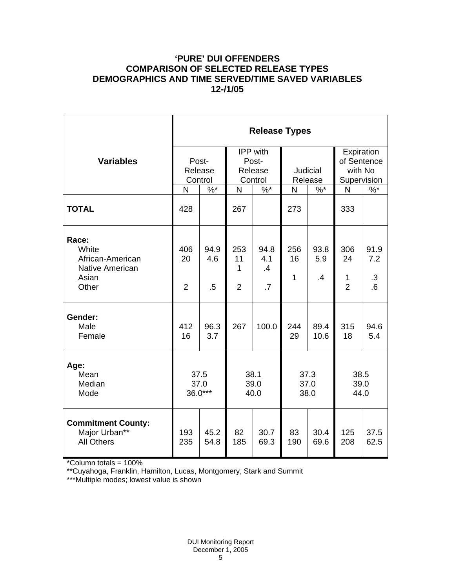## **'PURE' DUI OFFENDERS COMPARISON OF SELECTED RELEASE TYPES DEMOGRAPHICS AND TIME SERVED/TIME SAVED VARIABLES 12-/1/05**

|                                                                         | <b>Release Types</b>        |                       |                                         |                                      |                           |                   |                                                     |                                 |  |
|-------------------------------------------------------------------------|-----------------------------|-----------------------|-----------------------------------------|--------------------------------------|---------------------------|-------------------|-----------------------------------------------------|---------------------------------|--|
| <b>Variables</b>                                                        | Post-<br>Release<br>Control |                       | IPP with<br>Post-<br>Release<br>Control |                                      | Judicial<br>Release       |                   | Expiration<br>of Sentence<br>with No<br>Supervision |                                 |  |
|                                                                         | N                           | $\%$ *                | $\mathsf{N}$                            | $\frac{9}{6}$                        | N                         | $\%$ *            | N                                                   | $\%$                            |  |
| <b>TOTAL</b>                                                            | 428                         |                       | 267                                     |                                      | 273                       |                   | 333                                                 |                                 |  |
| Race:<br>White<br>African-American<br>Native American<br>Asian<br>Other | 406<br>20<br>$\overline{2}$ | 94.9<br>4.6<br>$.5\,$ | 253<br>11<br>1<br>$\overline{2}$        | 94.8<br>4.1<br>.4<br>$\overline{.7}$ | 256<br>16<br>$\mathbf{1}$ | 93.8<br>5.9<br>.4 | 306<br>24<br>1<br>$\overline{2}$                    | 91.9<br>7.2<br>$\cdot$ 3<br>6.6 |  |
| Gender:<br>Male<br>Female                                               | 412<br>16                   | 96.3<br>3.7           | 267                                     | 100.0                                | 244<br>29                 | 89.4<br>10.6      | 315<br>18                                           | 94.6<br>5.4                     |  |
| Age:<br>Mean<br>Median<br>Mode                                          | 37.5<br>37.0<br>$36.0***$   |                       | 38.1<br>39.0<br>40.0                    |                                      | 37.3<br>37.0<br>38.0      |                   | 38.5<br>39.0<br>44.0                                |                                 |  |
| <b>Commitment County:</b><br>Major Urban**<br><b>All Others</b>         | 193<br>235                  | 45.2<br>54.8          | 82<br>185                               | 30.7<br>69.3                         | 83<br>190                 | 30.4<br>69.6      | 125<br>208                                          | 37.5<br>62.5                    |  |

\*Column totals = 100%

\*\*Cuyahoga, Franklin, Hamilton, Lucas, Montgomery, Stark and Summit

\*\*\*Multiple modes; lowest value is shown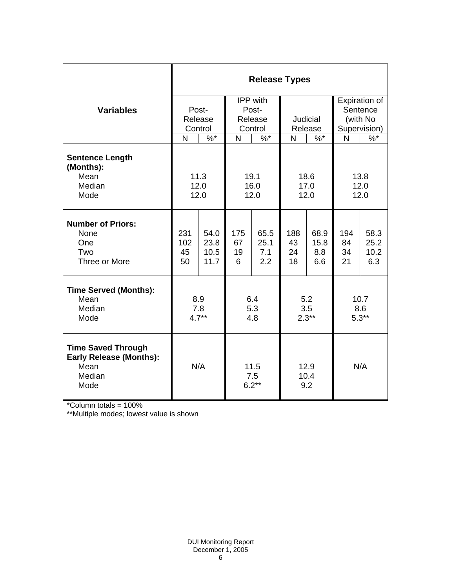|                                                                                       | <b>Release Types</b>        |                              |                                              |                            |                       |                            |                                                       |                             |
|---------------------------------------------------------------------------------------|-----------------------------|------------------------------|----------------------------------------------|----------------------------|-----------------------|----------------------------|-------------------------------------------------------|-----------------------------|
| <b>Variables</b>                                                                      | Post-<br>Release<br>Control |                              | IPP with<br>Post-<br>Release<br>Control      |                            | Judicial<br>Release   |                            | Expiration of<br>Sentence<br>(with No<br>Supervision) |                             |
|                                                                                       | N                           | $\%$ *                       | N                                            | $\sqrt[6]{6}$              | N                     | $\%$ *                     | N                                                     | $\frac{9}{6}$               |
| <b>Sentence Length</b><br>(Months):<br>Mean<br>Median<br>Mode                         |                             | 11.3<br>12.0<br>12.0         | 19.1<br>18.6<br>16.0<br>17.0<br>12.0<br>12.0 |                            | 13.8<br>12.0<br>12.0  |                            |                                                       |                             |
| <b>Number of Priors:</b><br>None<br>One<br>Two<br>Three or More                       | 231<br>102<br>45<br>50      | 54.0<br>23.8<br>10.5<br>11.7 | 175<br>67<br>19<br>6                         | 65.5<br>25.1<br>7.1<br>2.2 | 188<br>43<br>24<br>18 | 68.9<br>15.8<br>8.8<br>6.6 | 194<br>84<br>34<br>21                                 | 58.3<br>25.2<br>10.2<br>6.3 |
| <b>Time Served (Months):</b><br>Mean<br>Median<br>Mode                                | 8.9<br>7.8<br>$4.7**$       |                              | 6.4<br>5.3<br>4.8                            |                            | 5.2<br>3.5<br>$2.3**$ |                            | 10.7<br>8.6<br>$5.3**$                                |                             |
| <b>Time Saved Through</b><br><b>Early Release (Months):</b><br>Mean<br>Median<br>Mode |                             | N/A                          |                                              | 11.5<br>7.5<br>$6.2**$     | 12.9<br>10.4<br>9.2   |                            | N/A                                                   |                             |

\*Column totals = 100%

\*\*Multiple modes; lowest value is shown